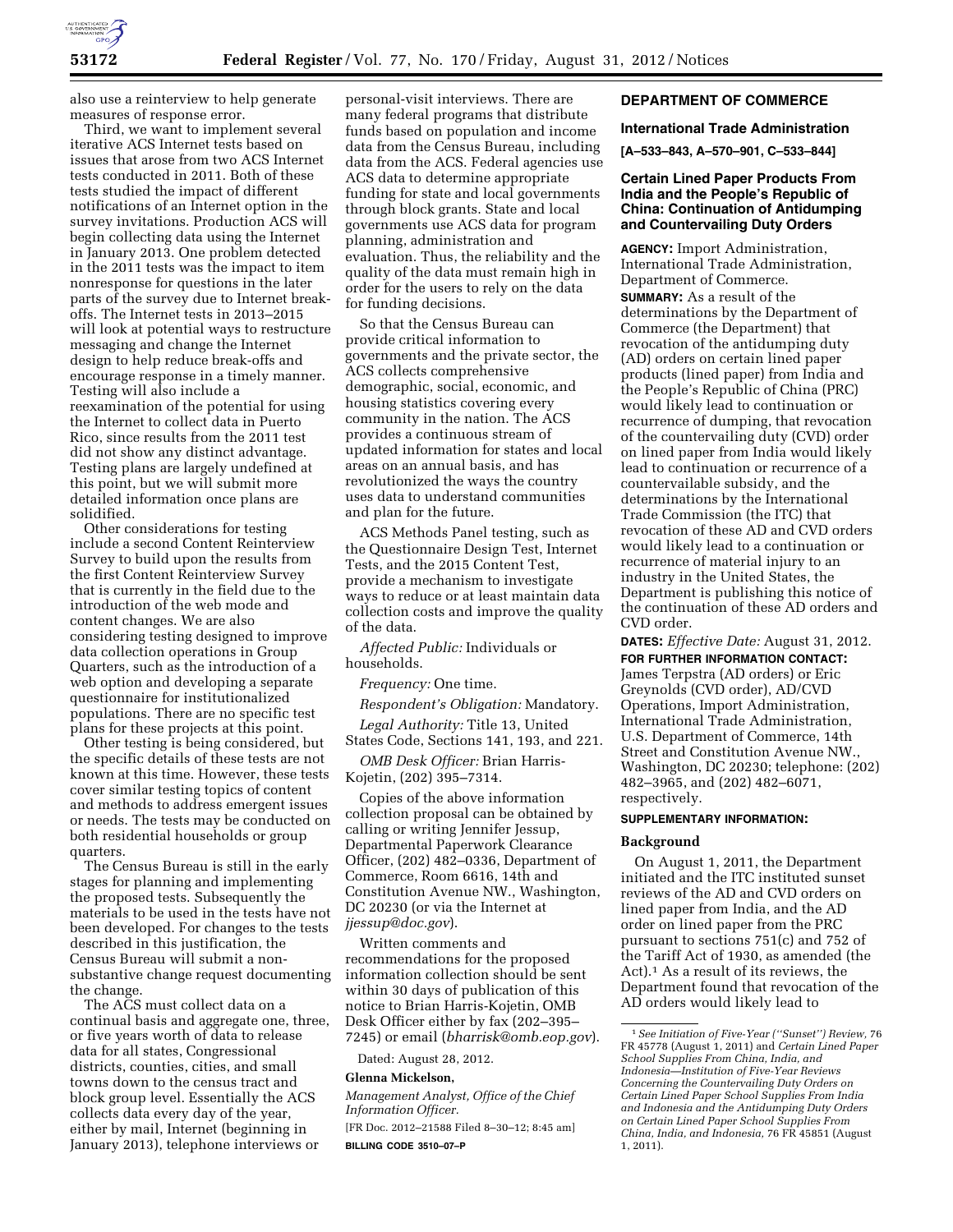

also use a reinterview to help generate measures of response error.

Third, we want to implement several iterative ACS Internet tests based on issues that arose from two ACS Internet tests conducted in 2011. Both of these tests studied the impact of different notifications of an Internet option in the survey invitations. Production ACS will begin collecting data using the Internet in January 2013. One problem detected in the 2011 tests was the impact to item nonresponse for questions in the later parts of the survey due to Internet breakoffs. The Internet tests in 2013–2015 will look at potential ways to restructure messaging and change the Internet design to help reduce break-offs and encourage response in a timely manner. Testing will also include a reexamination of the potential for using the Internet to collect data in Puerto Rico, since results from the 2011 test did not show any distinct advantage. Testing plans are largely undefined at this point, but we will submit more detailed information once plans are solidified.

Other considerations for testing include a second Content Reinterview Survey to build upon the results from the first Content Reinterview Survey that is currently in the field due to the introduction of the web mode and content changes. We are also considering testing designed to improve data collection operations in Group Quarters, such as the introduction of a web option and developing a separate questionnaire for institutionalized populations. There are no specific test plans for these projects at this point.

Other testing is being considered, but the specific details of these tests are not known at this time. However, these tests cover similar testing topics of content and methods to address emergent issues or needs. The tests may be conducted on both residential households or group quarters.

The Census Bureau is still in the early stages for planning and implementing the proposed tests. Subsequently the materials to be used in the tests have not been developed. For changes to the tests described in this justification, the Census Bureau will submit a nonsubstantive change request documenting the change.

The ACS must collect data on a continual basis and aggregate one, three, or five years worth of data to release data for all states, Congressional districts, counties, cities, and small towns down to the census tract and block group level. Essentially the ACS collects data every day of the year, either by mail, Internet (beginning in January 2013), telephone interviews or

personal-visit interviews. There are many federal programs that distribute funds based on population and income data from the Census Bureau, including data from the ACS. Federal agencies use ACS data to determine appropriate funding for state and local governments through block grants. State and local governments use ACS data for program planning, administration and evaluation. Thus, the reliability and the quality of the data must remain high in order for the users to rely on the data for funding decisions.

So that the Census Bureau can provide critical information to governments and the private sector, the ACS collects comprehensive demographic, social, economic, and housing statistics covering every community in the nation. The ACS provides a continuous stream of updated information for states and local areas on an annual basis, and has revolutionized the ways the country uses data to understand communities and plan for the future.

ACS Methods Panel testing, such as the Questionnaire Design Test, Internet Tests, and the 2015 Content Test, provide a mechanism to investigate ways to reduce or at least maintain data collection costs and improve the quality of the data.

*Affected Public:* Individuals or households.

*Frequency:* One time.

*Respondent's Obligation:* Mandatory.

*Legal Authority:* Title 13, United States Code, Sections 141, 193, and 221.

*OMB Desk Officer:* Brian Harris-Kojetin, (202) 395–7314.

Copies of the above information collection proposal can be obtained by calling or writing Jennifer Jessup, Departmental Paperwork Clearance Officer, (202) 482–0336, Department of Commerce, Room 6616, 14th and Constitution Avenue NW., Washington, DC 20230 (or via the Internet at *[jjessup@doc.gov](mailto:jjessup@doc.gov)*).

Written comments and recommendations for the proposed information collection should be sent within 30 days of publication of this notice to Brian Harris-Kojetin, OMB Desk Officer either by fax (202–395– 7245) or email (*[bharrisk@omb.eop.gov](mailto:bharrisk@omb.eop.gov)*).

Dated: August 28, 2012.

## **Glenna Mickelson,**

*Management Analyst, Office of the Chief Information Officer.* 

[FR Doc. 2012–21588 Filed 8–30–12; 8:45 am] **BILLING CODE 3510–07–P** 

# **DEPARTMENT OF COMMERCE**

## **International Trade Administration**

**[A–533–843, A–570–901, C–533–844]** 

# **Certain Lined Paper Products From India and the People's Republic of China: Continuation of Antidumping and Countervailing Duty Orders**

**AGENCY:** Import Administration, International Trade Administration, Department of Commerce. **SUMMARY:** As a result of the determinations by the Department of Commerce (the Department) that revocation of the antidumping duty (AD) orders on certain lined paper products (lined paper) from India and the People's Republic of China (PRC) would likely lead to continuation or recurrence of dumping, that revocation of the countervailing duty (CVD) order on lined paper from India would likely lead to continuation or recurrence of a countervailable subsidy, and the determinations by the International Trade Commission (the ITC) that revocation of these AD and CVD orders would likely lead to a continuation or recurrence of material injury to an industry in the United States, the Department is publishing this notice of the continuation of these AD orders and CVD order.

**DATES:** *Effective Date:* August 31, 2012. **FOR FURTHER INFORMATION CONTACT:** 

James Terpstra (AD orders) or Eric Greynolds (CVD order), AD/CVD Operations, Import Administration, International Trade Administration, U.S. Department of Commerce, 14th Street and Constitution Avenue NW., Washington, DC 20230; telephone: (202) 482–3965, and (202) 482–6071, respectively.

### **SUPPLEMENTARY INFORMATION:**

### **Background**

On August 1, 2011, the Department initiated and the ITC instituted sunset reviews of the AD and CVD orders on lined paper from India, and the AD order on lined paper from the PRC pursuant to sections 751(c) and 752 of the Tariff Act of 1930, as amended (the Act).1 As a result of its reviews, the Department found that revocation of the AD orders would likely lead to

<sup>1</sup>*See Initiation of Five-Year (''Sunset'') Review,* 76 FR 45778 (August 1, 2011) and *Certain Lined Paper School Supplies From China, India, and Indonesia—Institution of Five-Year Reviews Concerning the Countervailing Duty Orders on Certain Lined Paper School Supplies From India and Indonesia and the Antidumping Duty Orders on Certain Lined Paper School Supplies From China, India, and Indonesia,* 76 FR 45851 (August 1, 2011).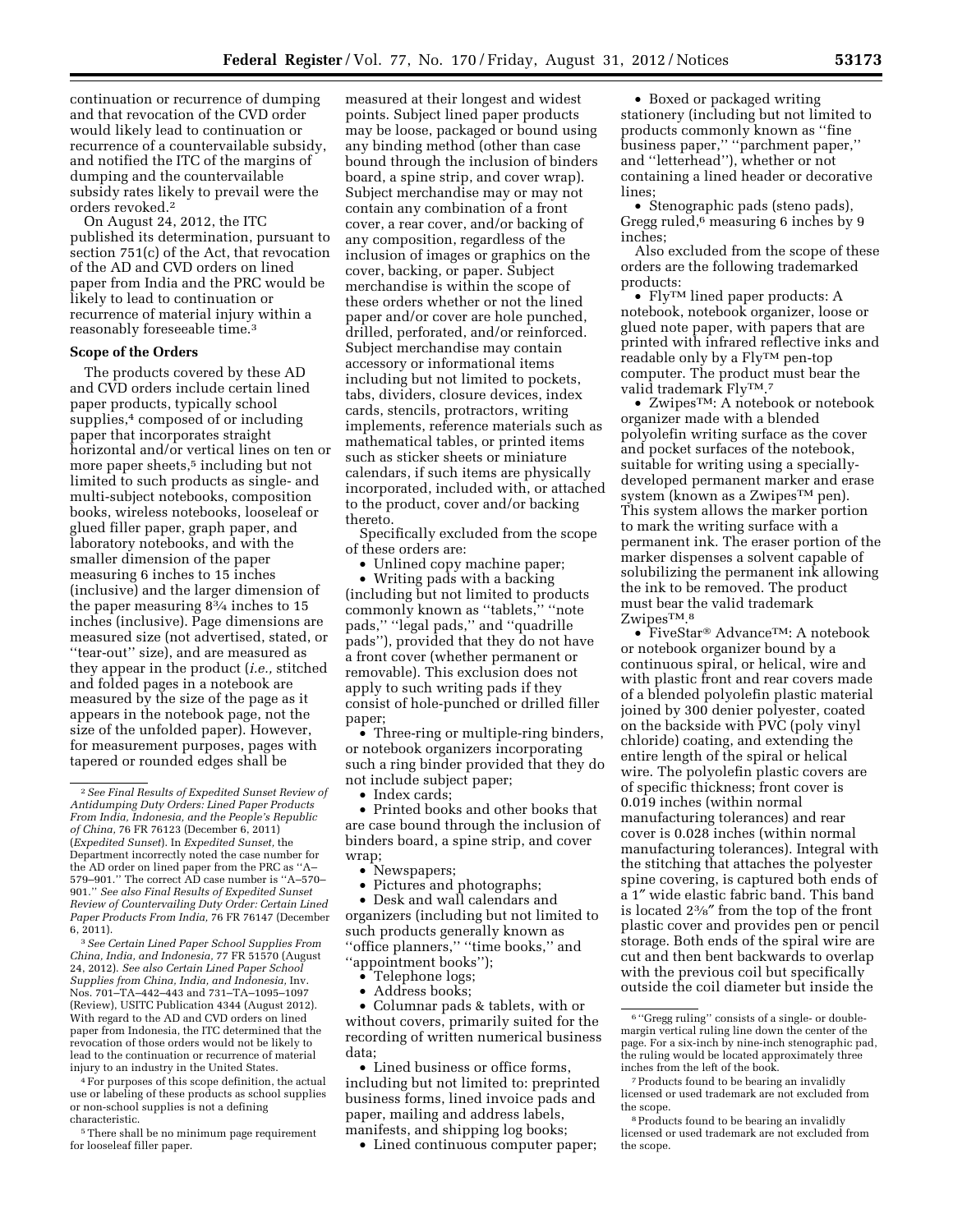continuation or recurrence of dumping and that revocation of the CVD order would likely lead to continuation or recurrence of a countervailable subsidy, and notified the ITC of the margins of dumping and the countervailable subsidy rates likely to prevail were the orders revoked.2

On August 24, 2012, the ITC published its determination, pursuant to section 751(c) of the Act, that revocation of the AD and CVD orders on lined paper from India and the PRC would be likely to lead to continuation or recurrence of material injury within a reasonably foreseeable time.3

### **Scope of the Orders**

The products covered by these AD and CVD orders include certain lined paper products, typically school supplies,<sup>4</sup> composed of or including paper that incorporates straight horizontal and/or vertical lines on ten or more paper sheets,<sup>5</sup> including but not limited to such products as single- and multi-subject notebooks, composition books, wireless notebooks, looseleaf or glued filler paper, graph paper, and laboratory notebooks, and with the smaller dimension of the paper measuring 6 inches to 15 inches (inclusive) and the larger dimension of the paper measuring 83⁄4 inches to 15 inches (inclusive). Page dimensions are measured size (not advertised, stated, or ''tear-out'' size), and are measured as they appear in the product (*i.e.,* stitched and folded pages in a notebook are measured by the size of the page as it appears in the notebook page, not the size of the unfolded paper). However, for measurement purposes, pages with tapered or rounded edges shall be

3*See Certain Lined Paper School Supplies From China, India, and Indonesia,* 77 FR 51570 (August 24, 2012). *See also Certain Lined Paper School Supplies from China, India, and Indonesia,* Inv. Nos. 701–TA–442–443 and 731–TA–1095–1097 (Review), USITC Publication 4344 (August 2012). With regard to the AD and CVD orders on lined paper from Indonesia, the ITC determined that the revocation of those orders would not be likely to lead to the continuation or recurrence of material injury to an industry in the United States.

4For purposes of this scope definition, the actual use or labeling of these products as school supplies or non-school supplies is not a defining characteristic.

5There shall be no minimum page requirement for looseleaf filler paper.

measured at their longest and widest points. Subject lined paper products may be loose, packaged or bound using any binding method (other than case bound through the inclusion of binders board, a spine strip, and cover wrap). Subject merchandise may or may not contain any combination of a front cover, a rear cover, and/or backing of any composition, regardless of the inclusion of images or graphics on the cover, backing, or paper. Subject merchandise is within the scope of these orders whether or not the lined paper and/or cover are hole punched, drilled, perforated, and/or reinforced. Subject merchandise may contain accessory or informational items including but not limited to pockets, tabs, dividers, closure devices, index cards, stencils, protractors, writing implements, reference materials such as mathematical tables, or printed items such as sticker sheets or miniature calendars, if such items are physically incorporated, included with, or attached to the product, cover and/or backing thereto.

Specifically excluded from the scope of these orders are:

Unlined copy machine paper;

• Writing pads with a backing (including but not limited to products commonly known as ''tablets,'' ''note pads," "legal pads," and "quadrille pads''), provided that they do not have a front cover (whether permanent or removable). This exclusion does not apply to such writing pads if they consist of hole-punched or drilled filler paper;

• Three-ring or multiple-ring binders, or notebook organizers incorporating such a ring binder provided that they do not include subject paper;

• Index cards;

• Printed books and other books that are case bound through the inclusion of binders board, a spine strip, and cover wrap;

- Newspapers:
- Pictures and photographs;

• Desk and wall calendars and organizers (including but not limited to such products generally known as ''office planners,'' ''time books,'' and ''appointment books'');

• Telephone logs;

• Address books;

• Columnar pads & tablets, with or without covers, primarily suited for the recording of written numerical business data;

• Lined business or office forms, including but not limited to: preprinted business forms, lined invoice pads and paper, mailing and address labels, manifests, and shipping log books;

• Lined continuous computer paper;

• Boxed or packaged writing stationery (including but not limited to products commonly known as ''fine business paper,'' ''parchment paper,'' and ''letterhead''), whether or not containing a lined header or decorative lines;

• Stenographic pads (steno pads), Gregg ruled,<sup>6</sup> measuring 6 inches by 9 inches;

Also excluded from the scope of these orders are the following trademarked products:

• FlyTM lined paper products: A notebook, notebook organizer, loose or glued note paper, with papers that are printed with infrared reflective inks and readable only by a FlyTM pen-top computer. The product must bear the valid trademark FlyTM.7

• ZwipesTM: A notebook or notebook organizer made with a blended polyolefin writing surface as the cover and pocket surfaces of the notebook, suitable for writing using a speciallydeveloped permanent marker and erase system (known as a Zwipes™ pen). This system allows the marker portion to mark the writing surface with a permanent ink. The eraser portion of the marker dispenses a solvent capable of solubilizing the permanent ink allowing the ink to be removed. The product must bear the valid trademark ZwipesTM.8

• FiveStar® AdvanceTM: A notebook or notebook organizer bound by a continuous spiral, or helical, wire and with plastic front and rear covers made of a blended polyolefin plastic material joined by 300 denier polyester, coated on the backside with PVC (poly vinyl chloride) coating, and extending the entire length of the spiral or helical wire. The polyolefin plastic covers are of specific thickness; front cover is 0.019 inches (within normal manufacturing tolerances) and rear cover is 0.028 inches (within normal manufacturing tolerances). Integral with the stitching that attaches the polyester spine covering, is captured both ends of a 1″ wide elastic fabric band. This band is located 23⁄8″ from the top of the front plastic cover and provides pen or pencil storage. Both ends of the spiral wire are cut and then bent backwards to overlap with the previous coil but specifically outside the coil diameter but inside the

<sup>2</sup>*See Final Results of Expedited Sunset Review of Antidumping Duty Orders: Lined Paper Products From India, Indonesia, and the People's Republic of China,* 76 FR 76123 (December 6, 2011) (*Expedited Sunset*). In *Expedited Sunset,* the Department incorrectly noted the case number for the AD order on lined paper from the PRC as ''A– 579–901.'' The correct AD case number is ''A–570– 901.'' *See also Final Results of Expedited Sunset Review of Countervailing Duty Order: Certain Lined Paper Products From India,* 76 FR 76147 (December 6, 2011).

<sup>6</sup> ''Gregg ruling'' consists of a single- or doublemargin vertical ruling line down the center of the page. For a six-inch by nine-inch stenographic pad, the ruling would be located approximately three inches from the left of the book.

<sup>7</sup>Products found to be bearing an invalidly licensed or used trademark are not excluded from the scope.

<sup>8</sup>Products found to be bearing an invalidly licensed or used trademark are not excluded from the scope.